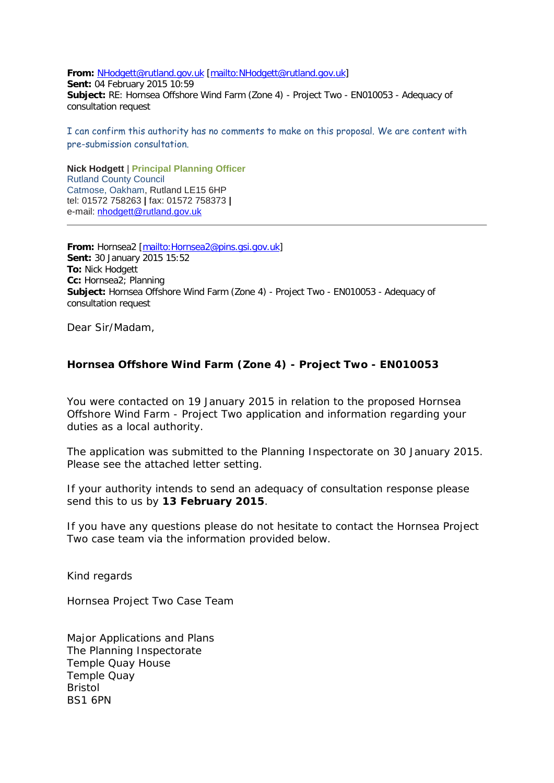**From:** [NHodgett@rutland.gov.uk](mailto:NHodgett@rutland.gov.uk) [\[mailto:NHodgett@rutland.gov.uk\]](mailto:NHodgett@rutland.gov.uk) **Sent:** 04 February 2015 10:59 **Subject:** RE: Hornsea Offshore Wind Farm (Zone 4) - Project Two - EN010053 - Adequacy of consultation request

I can confirm this authority has no comments to make on this proposal. We are content with pre-submission consultation.

**Nick Hodgett** | **Principal Planning Officer**  Rutland County Council Catmose, Oakham, Rutland LE15 6HP tel: 01572 758263 **|** fax: 01572 758373 **|**  e-mail: [nhodgett@rutland.gov.uk](mailto:nhodgett@rutland.gcsx.gov.uk)

**From:** Hornsea2 [\[mailto:Hornsea2@pins.gsi.gov.uk\]](mailto:Hornsea2@pins.gsi.gov.uk) **Sent:** 30 January 2015 15:52 **To:** Nick Hodgett **Cc:** Hornsea2; Planning **Subject:** Hornsea Offshore Wind Farm (Zone 4) - Project Two - EN010053 - Adequacy of consultation request

Dear Sir/Madam,

## **Hornsea Offshore Wind Farm (Zone 4) - Project Two - EN010053**

You were contacted on 19 January 2015 in relation to the proposed Hornsea Offshore Wind Farm - Project Two application and information regarding your duties as a local authority.

The application was submitted to the Planning Inspectorate on 30 January 2015. Please see the attached letter setting.

If your authority intends to send an adequacy of consultation response please send this to us by **13 February 2015**.

If you have any questions please do not hesitate to contact the Hornsea Project Two case team via the information provided below.

Kind regards

Hornsea Project Two Case Team

Major Applications and Plans The Planning Inspectorate Temple Quay House Temple Quay Bristol BS1 6PN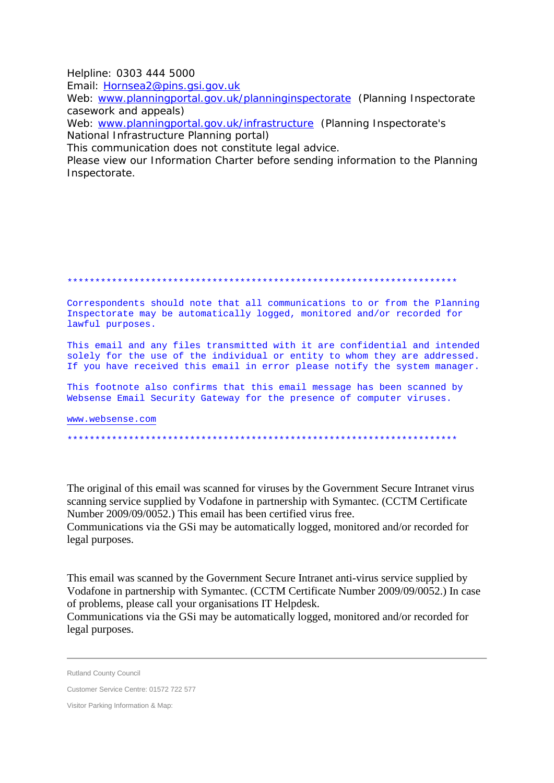Helpline: 0303 444 5000

Email: Hornsea2@pins.gsi.gov.uk

Web: www.planningportal.gov.uk/planninginspectorate (Planning Inspectorate casework and appeals)

Web: www.planningportal.gov.uk/infrastructure (Planning Inspectorate's National Infrastructure Planning portal)

This communication does not constitute legal advice.

Please view our Information Charter before sending information to the Planning Inspectorate.

Correspondents should note that all communications to or from the Planning Inspectorate may be automatically logged, monitored and/or recorded for lawful purposes.

This email and any files transmitted with it are confidential and intended solely for the use of the individual or entity to whom they are addressed. If you have received this email in error please notify the system manager.

This footnote also confirms that this email message has been scanned by Websense Email Security Gateway for the presence of computer viruses.

www.websense.com

The original of this email was scanned for viruses by the Government Secure Intranet virus scanning service supplied by Vodafone in partnership with Symantec. (CCTM Certificate Number 2009/09/0052.) This email has been certified virus free.

Communications via the GSi may be automatically logged, monitored and/or recorded for legal purposes.

This email was scanned by the Government Secure Intranet anti-virus service supplied by Vodafone in partnership with Symantec. (CCTM Certificate Number 2009/09/0052.) In case of problems, please call your organisations IT Helpdesk.

Communications via the GSi may be automatically logged, monitored and/or recorded for legal purposes.

**Rutland County Council** 

Customer Service Centre: 01572 722 577

Visitor Parking Information & Map: